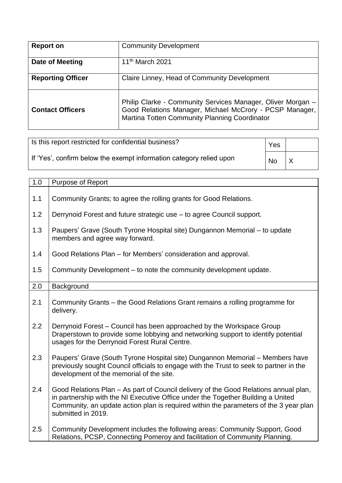| <b>Report on</b>         | <b>Community Development</b>                                                                                                                                            |
|--------------------------|-------------------------------------------------------------------------------------------------------------------------------------------------------------------------|
| Date of Meeting          | 11 <sup>th</sup> March 2021                                                                                                                                             |
| <b>Reporting Officer</b> | Claire Linney, Head of Community Development                                                                                                                            |
| <b>Contact Officers</b>  | Philip Clarke - Community Services Manager, Oliver Morgan -<br>Good Relations Manager, Michael McCrory - PCSP Manager,<br>Martina Totten Community Planning Coordinator |

| Is this report restricted for confidential business?                | Yes       |          |
|---------------------------------------------------------------------|-----------|----------|
| If 'Yes', confirm below the exempt information category relied upon | <b>No</b> | $\times$ |

| 1.0 | Purpose of Report                                                                                                                                                                                                                                                                       |  |  |  |
|-----|-----------------------------------------------------------------------------------------------------------------------------------------------------------------------------------------------------------------------------------------------------------------------------------------|--|--|--|
| 1.1 | Community Grants; to agree the rolling grants for Good Relations.                                                                                                                                                                                                                       |  |  |  |
| 1.2 | Derrynoid Forest and future strategic use – to agree Council support.                                                                                                                                                                                                                   |  |  |  |
| 1.3 | Paupers' Grave (South Tyrone Hospital site) Dungannon Memorial - to update<br>members and agree way forward.                                                                                                                                                                            |  |  |  |
| 1.4 | Good Relations Plan – for Members' consideration and approval.                                                                                                                                                                                                                          |  |  |  |
| 1.5 | Community Development – to note the community development update.                                                                                                                                                                                                                       |  |  |  |
| 2.0 | Background                                                                                                                                                                                                                                                                              |  |  |  |
| 2.1 | Community Grants - the Good Relations Grant remains a rolling programme for<br>delivery.                                                                                                                                                                                                |  |  |  |
| 2.2 | Derrynoid Forest – Council has been approached by the Workspace Group<br>Draperstown to provide some lobbying and networking support to identify potential<br>usages for the Derrynoid Forest Rural Centre.                                                                             |  |  |  |
| 2.3 | Paupers' Grave (South Tyrone Hospital site) Dungannon Memorial - Members have<br>previously sought Council officials to engage with the Trust to seek to partner in the<br>development of the memorial of the site.                                                                     |  |  |  |
| 2.4 | Good Relations Plan - As part of Council delivery of the Good Relations annual plan,<br>in partnership with the NI Executive Office under the Together Building a United<br>Community, an update action plan is required within the parameters of the 3 year plan<br>submitted in 2019. |  |  |  |
| 2.5 | Community Development includes the following areas: Community Support, Good<br>Relations, PCSP, Connecting Pomeroy and facilitation of Community Planning.                                                                                                                              |  |  |  |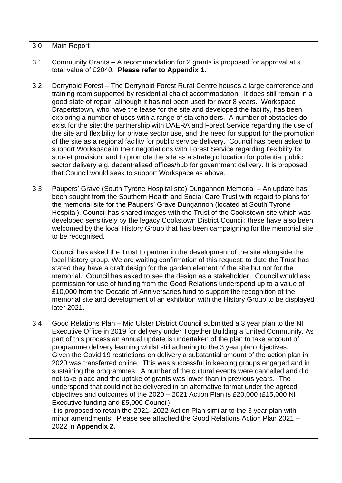| 3.0  | Main Report                                                                                                                                                                                                                                                                                                                                                                                                                                                                                                                                                                                                                                                                                                                                                                                                                                                                                                                                                                                                                                                                                                             |
|------|-------------------------------------------------------------------------------------------------------------------------------------------------------------------------------------------------------------------------------------------------------------------------------------------------------------------------------------------------------------------------------------------------------------------------------------------------------------------------------------------------------------------------------------------------------------------------------------------------------------------------------------------------------------------------------------------------------------------------------------------------------------------------------------------------------------------------------------------------------------------------------------------------------------------------------------------------------------------------------------------------------------------------------------------------------------------------------------------------------------------------|
| 3.1  | Community Grants – A recommendation for 2 grants is proposed for approval at a<br>total value of £2040. Please refer to Appendix 1.                                                                                                                                                                                                                                                                                                                                                                                                                                                                                                                                                                                                                                                                                                                                                                                                                                                                                                                                                                                     |
| 3.2. | Derrynoid Forest – The Derrynoid Forest Rural Centre houses a large conference and<br>training room supported by residential chalet accommodation. It does still remain in a<br>good state of repair, although it has not been used for over 8 years. Workspace<br>Drapertstown, who have the lease for the site and developed the facility, has been<br>exploring a number of uses with a range of stakeholders. A number of obstacles do<br>exist for the site; the partnership with DAERA and Forest Service regarding the use of<br>the site and flexibility for private sector use, and the need for support for the promotion<br>of the site as a regional facility for public service delivery. Council has been asked to<br>support Workspace in their negotiations with Forest Service regarding flexibility for<br>sub-let provision, and to promote the site as a strategic location for potential public<br>sector delivery e.g. decentralised offices/hub for government delivery. It is proposed<br>that Council would seek to support Workspace as above.                                                |
| 3.3  | Paupers' Grave (South Tyrone Hospital site) Dungannon Memorial - An update has<br>been sought from the Southern Health and Social Care Trust with regard to plans for<br>the memorial site for the Paupers' Grave Dungannon (located at South Tyrone<br>Hospital). Council has shared images with the Trust of the Cookstown site which was<br>developed sensitively by the legacy Cookstown District Council; these have also been<br>welcomed by the local History Group that has been campaigning for the memorial site<br>to be recognised.                                                                                                                                                                                                                                                                                                                                                                                                                                                                                                                                                                         |
|      | Council has asked the Trust to partner in the development of the site alongside the<br>local history group. We are waiting confirmation of this request; to date the Trust has<br>stated they have a draft design for the garden element of the site but not for the<br>memorial. Council has asked to see the design as a stakeholder. Council would ask<br>permission for use of funding from the Good Relations underspend up to a value of<br>£10,000 from the Decade of Anniversaries fund to support the recognition of the<br>memorial site and development of an exhibition with the History Group to be displayed<br>later 2021.                                                                                                                                                                                                                                                                                                                                                                                                                                                                               |
| 3.4  | Good Relations Plan – Mid Ulster District Council submitted a 3 year plan to the NI<br>Executive Office in 2019 for delivery under Together Building a United Community. As<br>part of this process an annual update is undertaken of the plan to take account of<br>programme delivery learning whilst still adhering to the 3 year plan objectives.<br>Given the Covid 19 restrictions on delivery a substantial amount of the action plan in<br>2020 was transferred online. This was successful in keeping groups engaged and in<br>sustaining the programmes. A number of the cultural events were cancelled and did<br>not take place and the uptake of grants was lower than in previous years. The<br>underspend that could not be delivered in an alternative format under the agreed<br>objectives and outcomes of the $2020 - 2021$ Action Plan is £20,000 (£15,000 NI<br>Executive funding and £5,000 Council).<br>It is proposed to retain the 2021-2022 Action Plan similar to the 3 year plan with<br>minor amendments. Please see attached the Good Relations Action Plan 2021 -<br>2022 in Appendix 2. |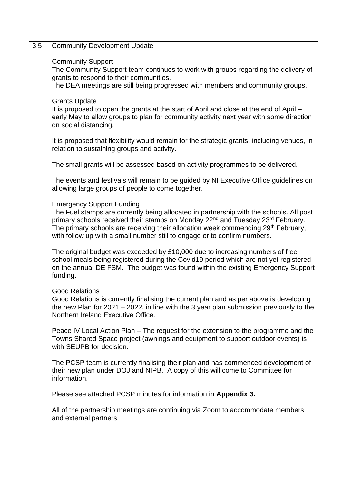| <b>Community Development Update</b>                                                                                                                                                                                                                                                                                                                                                                                  |
|----------------------------------------------------------------------------------------------------------------------------------------------------------------------------------------------------------------------------------------------------------------------------------------------------------------------------------------------------------------------------------------------------------------------|
| <b>Community Support</b><br>The Community Support team continues to work with groups regarding the delivery of<br>grants to respond to their communities.<br>The DEA meetings are still being progressed with members and community groups.                                                                                                                                                                          |
| <b>Grants Update</b><br>It is proposed to open the grants at the start of April and close at the end of April –<br>early May to allow groups to plan for community activity next year with some direction<br>on social distancing.                                                                                                                                                                                   |
| It is proposed that flexibility would remain for the strategic grants, including venues, in<br>relation to sustaining groups and activity.                                                                                                                                                                                                                                                                           |
| The small grants will be assessed based on activity programmes to be delivered.                                                                                                                                                                                                                                                                                                                                      |
| The events and festivals will remain to be guided by NI Executive Office guidelines on<br>allowing large groups of people to come together.                                                                                                                                                                                                                                                                          |
| <b>Emergency Support Funding</b><br>The Fuel stamps are currently being allocated in partnership with the schools. All post<br>primary schools received their stamps on Monday 22 <sup>nd</sup> and Tuesday 23 <sup>rd</sup> February.<br>The primary schools are receiving their allocation week commending 29 <sup>th</sup> February,<br>with follow up with a small number still to engage or to confirm numbers. |
| The original budget was exceeded by £10,000 due to increasing numbers of free<br>school meals being registered during the Covid19 period which are not yet registered<br>on the annual DE FSM. The budget was found within the existing Emergency Support<br>funding.                                                                                                                                                |
| <b>Good Relations</b><br>Good Relations is currently finalising the current plan and as per above is developing<br>the new Plan for $2021 - 2022$ , in line with the 3 year plan submission previously to the<br>Northern Ireland Executive Office.                                                                                                                                                                  |
| Peace IV Local Action Plan – The request for the extension to the programme and the<br>Towns Shared Space project (awnings and equipment to support outdoor events) is<br>with SEUPB for decision.                                                                                                                                                                                                                   |
| The PCSP team is currently finalising their plan and has commenced development of<br>their new plan under DOJ and NIPB. A copy of this will come to Committee for<br>information.                                                                                                                                                                                                                                    |
| Please see attached PCSP minutes for information in Appendix 3.                                                                                                                                                                                                                                                                                                                                                      |
| All of the partnership meetings are continuing via Zoom to accommodate members<br>and external partners.                                                                                                                                                                                                                                                                                                             |
|                                                                                                                                                                                                                                                                                                                                                                                                                      |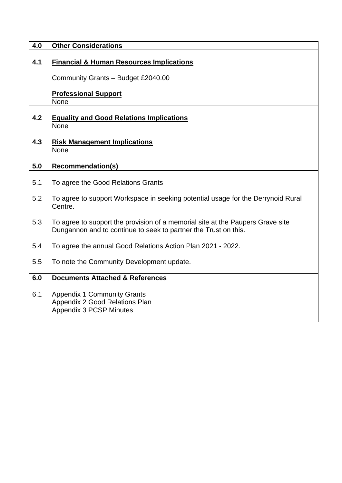| 4.0 | <b>Other Considerations</b>                                                                                                                       |  |  |  |
|-----|---------------------------------------------------------------------------------------------------------------------------------------------------|--|--|--|
| 4.1 | <b>Financial &amp; Human Resources Implications</b><br>Community Grants - Budget £2040.00                                                         |  |  |  |
|     | <b>Professional Support</b><br><b>None</b>                                                                                                        |  |  |  |
| 4.2 | <b>Equality and Good Relations Implications</b><br><b>None</b>                                                                                    |  |  |  |
| 4.3 | <b>Risk Management Implications</b><br>None                                                                                                       |  |  |  |
| 5.0 | <b>Recommendation(s)</b>                                                                                                                          |  |  |  |
| 5.1 | To agree the Good Relations Grants                                                                                                                |  |  |  |
| 5.2 | To agree to support Workspace in seeking potential usage for the Derrynoid Rural<br>Centre.                                                       |  |  |  |
| 5.3 | To agree to support the provision of a memorial site at the Paupers Grave site<br>Dungannon and to continue to seek to partner the Trust on this. |  |  |  |
| 5.4 | To agree the annual Good Relations Action Plan 2021 - 2022.                                                                                       |  |  |  |
| 5.5 | To note the Community Development update.                                                                                                         |  |  |  |
| 6.0 | <b>Documents Attached &amp; References</b>                                                                                                        |  |  |  |
| 6.1 | <b>Appendix 1 Community Grants</b><br>Appendix 2 Good Relations Plan<br><b>Appendix 3 PCSP Minutes</b>                                            |  |  |  |